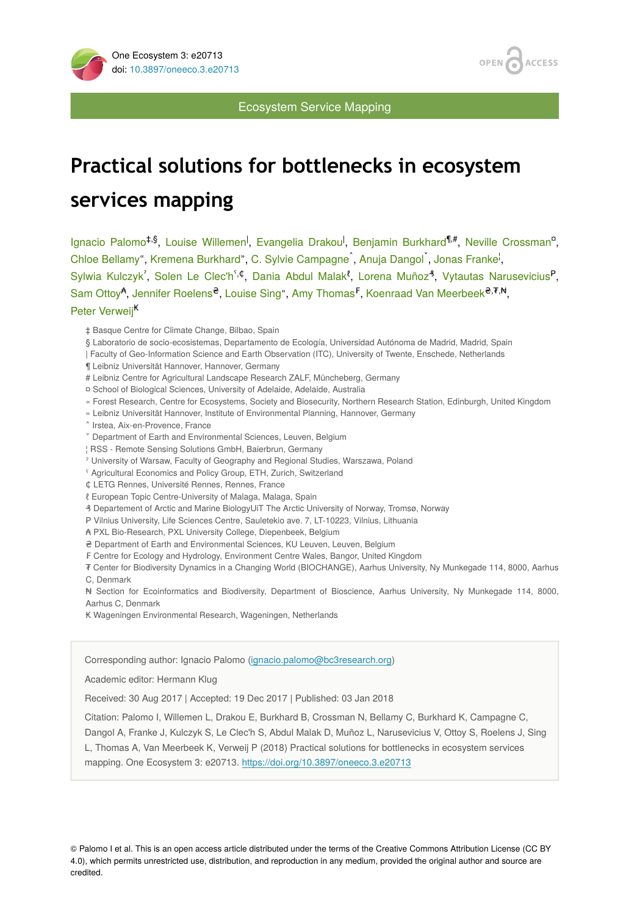



#### Ecosystem Service Mapping

# **Practical solutions for bottlenecks in ecosystem services mapping**

Ignacio Palomo<sup>‡,§</sup>, Louise Willemen<sup>|</sup>, Evangelia Drakou<sup>|</sup>, Benjamin Burkhard<sup>¶,#</sup>, Neville Crossman<sup>o</sup>, Chloe Bellamy", Kremena Burkhard", C. Sylvie Campagne<sup>^</sup>, Anuja Dangol<sup>Y</sup>, Jonas Franke<sup>i</sup>, Sylwia Kulczyk<sup>'</sup>, Solen Le Clec'h<sup>5,¢</sup>, Dania Abdul Malak<sup>*t*</sup>, Lorena Muñoz<sup>4</sup>, Vytautas Narusevicius<sup>P</sup>, Sam Ottoy<sup>A</sup>, Jennifer Roelens<sup>2</sup>, Louise Sing", Amy Thomas<sup>F</sup>, Koenraad Van Meerbeek<sup>2,7,N</sup>, Peter Verweij<sup>K</sup>

- ‡ Basque Centre for Climate Change, Bilbao, Spain
- § Laboratorio de socio-ecosistemas, Departamento de Ecología, Universidad Autónoma de Madrid, Madrid, Spain
- | Faculty of Geo-Information Science and Earth Observation (ITC), University of Twente, Enschede, Netherlands
- ¶ Leibniz Universität Hannover, Hannover, Germany
- # Leibniz Centre for Agricultural Landscape Research ZALF, Müncheberg, Germany
- ¤ School of Biological Sciences, University of Adelaide, Adelaide, Australia
- « Forest Research, Centre for Ecosystems, Society and Biosecurity, Northern Research Station, Edinburgh, United Kingdom
- » Leibniz Universität Hannover, Institute of Environmental Planning, Hannover, Germany
- ˄ Irstea, Aix-en-Provence, France
- ˅ Department of Earth and Environmental Sciences, Leuven, Belgium
- ¦ RSS Remote Sensing Solutions GmbH, Baierbrun, Germany
- ˀ University of Warsaw, Faculty of Geography and Regional Studies, Warszawa, Poland
- ˁ Agricultural Economics and Policy Group, ETH, Zurich, Switzerland
- ₵ LETG Rennes, Université Rennes, Rennes, France
- ℓ European Topic Centre-University of Malaga, Malaga, Spain
- ₰ Departement of Arctic and Marine BiologyUiT The Arctic University of Norway, Tromsø, Norway
- ₱ Vilnius University, Life Sciences Centre, Sauletekio ave. 7, LT-10223, Vilnius, Lithuania
- ₳ PXL Bio-Research, PXL University College, Diepenbeek, Belgium
- ₴ Department of Earth and Environmental Sciences, KU Leuven, Leuven, Belgium
- ₣ Centre for Ecology and Hydrology, Environment Centre Wales, Bangor, United Kingdom

₮ Center for Biodiversity Dynamics in a Changing World (BIOCHANGE), Aarhus University, Ny Munkegade 114, 8000, Aarhus C, Denmark

₦ Section for Ecoinformatics and Biodiversity, Department of Bioscience, Aarhus University, Ny Munkegade 114, 8000, Aarhus C, Denmark

₭ Wageningen Environmental Research, Wageningen, Netherlands

#### Corresponding author: Ignacio Palomo ([ignacio.palomo@bc3research.org](mailto:ignacio.palomo@bc3research.org))

Academic editor: Hermann Klug

Received: 30 Aug 2017 | Accepted: 19 Dec 2017 | Published: 03 Jan 2018

Citation: Palomo I, Willemen L, Drakou E, Burkhard B, Crossman N, Bellamy C, Burkhard K, Campagne C,

Dangol A, Franke J, Kulczyk S, Le Clec'h S, Abdul Malak D, Muñoz L, Narusevicius V, Ottoy S, Roelens J, Sing L, Thomas A, Van Meerbeek K, Verweij P (2018) Practical solutions for bottlenecks in ecosystem services mapping. One Ecosystem 3: e20713. <https://doi.org/10.3897/oneeco.3.e20713>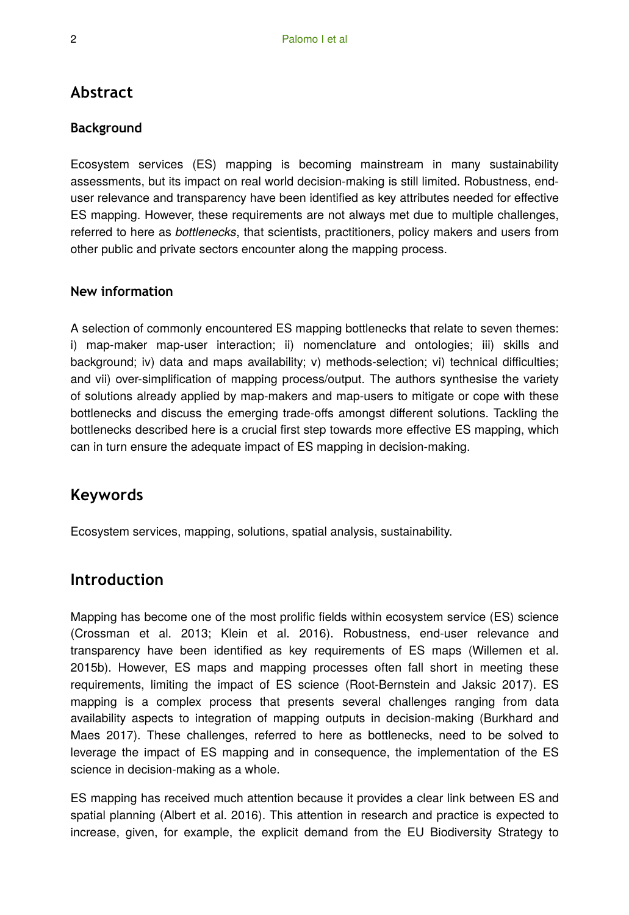# **Abstract**

### **Background**

Ecosystem services (ES) mapping is becoming mainstream in many sustainability assessments, but its impact on real world decision-making is still limited. Robustness, enduser relevance and transparency have been identified as key attributes needed for effective ES mapping. However, these requirements are not always met due to multiple challenges, referred to here as *bottlenecks*, that scientists, practitioners, policy makers and users from other public and private sectors encounter along the mapping process.

### **New information**

A selection of commonly encountered ES mapping bottlenecks that relate to seven themes: i) map-maker map-user interaction; ii) nomenclature and ontologies; iii) skills and background; iv) data and maps availability; v) methods-selection; vi) technical difficulties; and vii) over-simplification of mapping process/output. The authors synthesise the variety of solutions already applied by map-makers and map-users to mitigate or cope with these bottlenecks and discuss the emerging trade-offs amongst different solutions. Tackling the bottlenecks described here is a crucial first step towards more effective ES mapping, which can in turn ensure the adequate impact of ES mapping in decision-making.

# **Keywords**

Ecosystem services, mapping, solutions, spatial analysis, sustainability.

## **Introduction**

Mapping has become one of the most prolific fields within ecosystem service (ES) science (Crossman et al. 2013; Klein et al. 2016). Robustness, end-user relevance and transparency have been identified as key requirements of ES maps (Willemen et al. 2015b). However, ES maps and mapping processes often fall short in meeting these requirements, limiting the impact of ES science (Root-Bernstein and Jaksic 2017). ES mapping is a complex process that presents several challenges ranging from data availability aspects to integration of mapping outputs in decision-making (Burkhard and Maes 2017). These challenges, referred to here as bottlenecks, need to be solved to leverage the impact of ES mapping and in consequence, the implementation of the ES science in decision-making as a whole.

ES mapping has received much attention because it provides a clear link between ES and spatial planning (Albert et al. 2016). This attention in research and practice is expected to increase, given, for example, the explicit demand from the EU Biodiversity Strategy to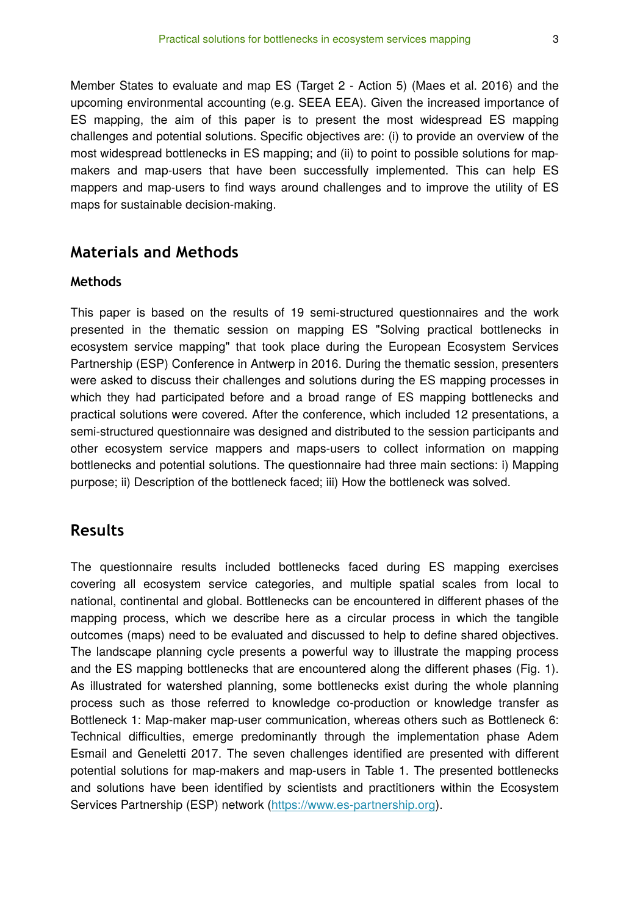Member States to evaluate and map ES (Target 2 - Action 5) (Maes et al. 2016) and the upcoming environmental accounting (e.g. SEEA EEA). Given the increased importance of ES mapping, the aim of this paper is to present the most widespread ES mapping challenges and potential solutions. Specific objectives are: (i) to provide an overview of the most widespread bottlenecks in ES mapping; and (ii) to point to possible solutions for mapmakers and map-users that have been successfully implemented. This can help ES mappers and map-users to find ways around challenges and to improve the utility of ES maps for sustainable decision-making.

### **Materials and Methods**

#### **Methods**

This paper is based on the results of 19 semi-structured questionnaires and the work presented in the thematic session on mapping ES "Solving practical bottlenecks in ecosystem service mapping" that took place during the European Ecosystem Services Partnership (ESP) Conference in Antwerp in 2016. During the thematic session, presenters were asked to discuss their challenges and solutions during the ES mapping processes in which they had participated before and a broad range of ES mapping bottlenecks and practical solutions were covered. After the conference, which included 12 presentations, a semi-structured questionnaire was designed and distributed to the session participants and other ecosystem service mappers and maps-users to collect information on mapping bottlenecks and potential solutions. The questionnaire had three main sections: i) Mapping purpose; ii) Description of the bottleneck faced; iii) How the bottleneck was solved.

### **Results**

The questionnaire results included bottlenecks faced during ES mapping exercises covering all ecosystem service categories, and multiple spatial scales from local to national, continental and global. Bottlenecks can be encountered in different phases of the mapping process, which we describe here as a circular process in which the tangible outcomes (maps) need to be evaluated and discussed to help to define shared objectives. The landscape planning cycle presents a powerful way to illustrate the mapping process and the ES mapping bottlenecks that are encountered along the different phases (Fig. 1). As illustrated for watershed planning, some bottlenecks exist during the whole planning process such as those referred to knowledge co-production or knowledge transfer as Bottleneck 1: Map-maker map-user communication, whereas others such as Bottleneck 6: Technical difficulties, emerge predominantly through the implementation phase Adem Esmail and Geneletti 2017. The seven challenges identified are presented with different potential solutions for map-makers and map-users in Table 1. The presented bottlenecks and solutions have been identified by scientists and practitioners within the Ecosystem Services Partnership (ESP) network ([https://www.es-partnership.org\)](https://www.es-partnership.org).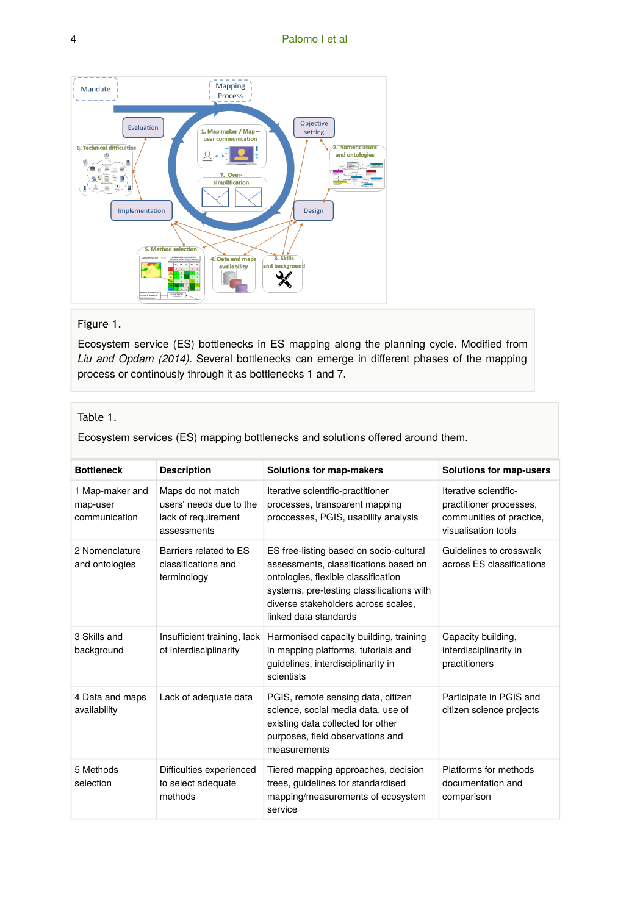

#### Figure 1.

Ecosystem service (ES) bottlenecks in ES mapping along the planning cycle. Modified from *Liu and Opdam (2014).* Several bottlenecks can emerge in different phases of the mapping process or continously through it as bottlenecks 1 and 7.

#### Table 1.

Ecosystem services (ES) mapping bottlenecks and solutions offered around them.

| <b>Bottleneck</b>                            | <b>Description</b>                                                                 | Solutions for map-makers                                                                                                                                                                                                             | Solutions for map-users                                                                             |
|----------------------------------------------|------------------------------------------------------------------------------------|--------------------------------------------------------------------------------------------------------------------------------------------------------------------------------------------------------------------------------------|-----------------------------------------------------------------------------------------------------|
| 1 Map-maker and<br>map-user<br>communication | Maps do not match<br>users' needs due to the<br>lack of requirement<br>assessments | Iterative scientific-practitioner<br>processes, transparent mapping<br>proccesses, PGIS, usability analysis                                                                                                                          | Iterative scientific-<br>practitioner processes,<br>communities of practice,<br>visualisation tools |
| 2 Nomenclature<br>and ontologies             | Barriers related to ES<br>classifications and<br>terminology                       | ES free-listing based on socio-cultural<br>assessments, classifications based on<br>ontologies, flexible classification<br>systems, pre-testing classifications with<br>diverse stakeholders across scales,<br>linked data standards | Guidelines to crosswalk<br>across ES classifications                                                |
| 3 Skills and<br>background                   | Insufficient training, lack<br>of interdisciplinarity                              | Harmonised capacity building, training<br>in mapping platforms, tutorials and<br>guidelines, interdisciplinarity in<br>scientists                                                                                                    | Capacity building,<br>interdisciplinarity in<br>practitioners                                       |
| 4 Data and maps<br>availability              | Lack of adequate data                                                              | PGIS, remote sensing data, citizen<br>science, social media data, use of<br>existing data collected for other<br>purposes, field observations and<br>measurements                                                                    | Participate in PGIS and<br>citizen science projects                                                 |
| 5 Methods<br>selection                       | Difficulties experienced<br>to select adequate<br>methods                          | Tiered mapping approaches, decision<br>trees, quidelines for standardised<br>mapping/measurements of ecosystem<br>service                                                                                                            | Platforms for methods<br>documentation and<br>comparison                                            |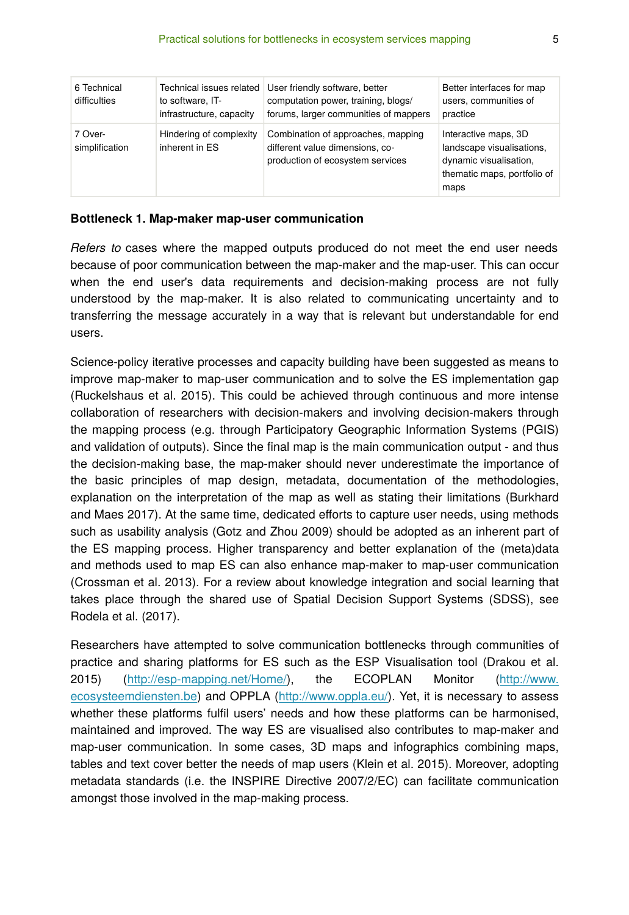| 6 Technical<br>difficulties | Technical issues related<br>to software, IT-<br>infrastructure, capacity | User friendly software, better<br>computation power, training, blogs/<br>forums, larger communities of mappers | Better interfaces for map<br>users, communities of<br>practice                                                     |
|-----------------------------|--------------------------------------------------------------------------|----------------------------------------------------------------------------------------------------------------|--------------------------------------------------------------------------------------------------------------------|
| 7 Over-<br>simplification   | Hindering of complexity<br>inherent in ES                                | Combination of approaches, mapping<br>different value dimensions, co-<br>production of ecosystem services      | Interactive maps, 3D<br>landscape visualisations,<br>dynamic visualisation,<br>thematic maps, portfolio of<br>maps |

#### **Bottleneck 1. Map-maker map-user communication**

*Refers to* cases where the mapped outputs produced do not meet the end user needs because of poor communication between the map-maker and the map-user. This can occur when the end user's data requirements and decision-making process are not fully understood by the map-maker. It is also related to communicating uncertainty and to transferring the message accurately in a way that is relevant but understandable for end users.

Science-policy iterative processes and capacity building have been suggested as means to improve map-maker to map-user communication and to solve the ES implementation gap (Ruckelshaus et al. 2015). This could be achieved through continuous and more intense collaboration of researchers with decision-makers and involving decision-makers through the mapping process (e.g. through Participatory Geographic Information Systems (PGIS) and validation of outputs). Since the final map is the main communication output - and thus the decision-making base, the map-maker should never underestimate the importance of the basic principles of map design, metadata, documentation of the methodologies, explanation on the interpretation of the map as well as stating their limitations (Burkhard and Maes 2017). At the same time, dedicated efforts to capture user needs, using methods such as usability analysis (Gotz and Zhou 2009) should be adopted as an inherent part of the ES mapping process. Higher transparency and better explanation of the (meta)data and methods used to map ES can also enhance map-maker to map-user communication (Crossman et al. 2013). For a review about knowledge integration and social learning that takes place through the shared use of Spatial Decision Support Systems (SDSS), see Rodela et al. (2017).

Researchers have attempted to solve communication bottlenecks through communities of practice and sharing platforms for ES such as the ESP Visualisation tool (Drakou et al. 2015) ([http://esp-mapping.net/Home/\)](http://esp-mapping.net/Home/), the ECOPLAN Monitor [\(http://www.](http://www.ecosysteemdiensten.be) [ecosysteemdiensten.be\)](http://www.ecosysteemdiensten.be) and OPPLA [\(http://www.oppla.eu/](http://www.oppla.eu)). Yet, it is necessary to assess whether these platforms fulfil users' needs and how these platforms can be harmonised, maintained and improved. The way ES are visualised also contributes to map-maker and map-user communication. In some cases, 3D maps and infographics combining maps, tables and text cover better the needs of map users (Klein et al. 2015). Moreover, adopting metadata standards (i.e. the INSPIRE Directive 2007/2/EC) can facilitate communication amongst those involved in the map-making process.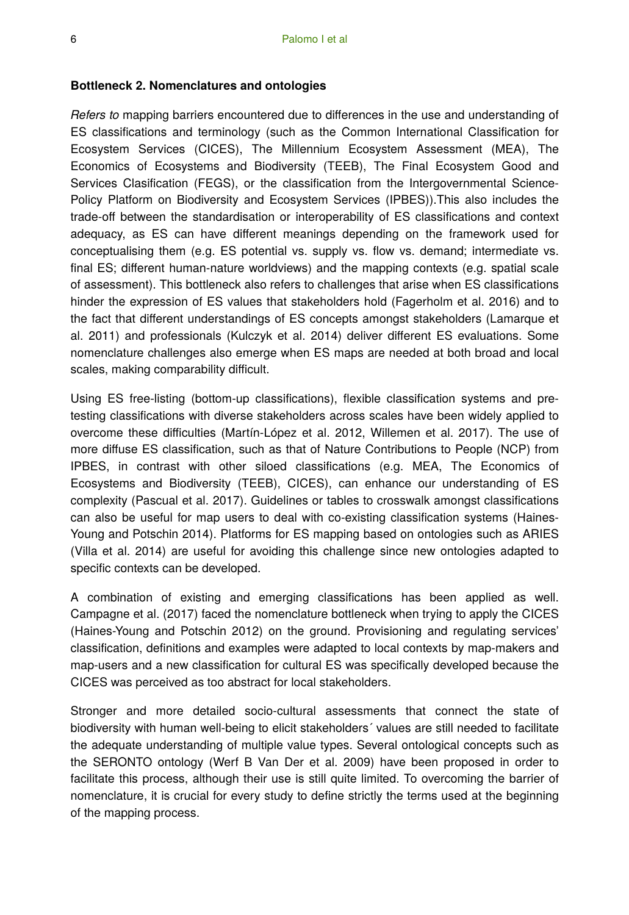#### **Bottleneck 2. Nomenclatures and ontologies**

*Refers to* mapping barriers encountered due to differences in the use and understanding of ES classifications and terminology (such as the Common International Classification for Ecosystem Services (CICES), The Millennium Ecosystem Assessment (MEA), The Economics of Ecosystems and Biodiversity (TEEB), The Final Ecosystem Good and Services Clasification (FEGS), or the classification from the Intergovernmental Science-Policy Platform on Biodiversity and Ecosystem Services (IPBES)).This also includes the trade-off between the standardisation or interoperability of ES classifications and context adequacy, as ES can have different meanings depending on the framework used for conceptualising them (e.g. ES potential vs. supply vs. flow vs. demand; intermediate vs. final ES; different human-nature worldviews) and the mapping contexts (e.g. spatial scale of assessment). This bottleneck also refers to challenges that arise when ES classifications hinder the expression of ES values that stakeholders hold (Fagerholm et al. 2016) and to the fact that different understandings of ES concepts amongst stakeholders (Lamarque et al. 2011) and professionals (Kulczyk et al. 2014) deliver different ES evaluations. Some nomenclature challenges also emerge when ES maps are needed at both broad and local scales, making comparability difficult.

Using ES free-listing (bottom-up classifications), flexible classification systems and pretesting classifications with diverse stakeholders across scales have been widely applied to overcome these difficulties (Martín-López et al. 2012, Willemen et al. 2017). The use of more diffuse ES classification, such as that of Nature Contributions to People (NCP) from IPBES, in contrast with other siloed classifications (e.g. MEA, The Economics of Ecosystems and Biodiversity (TEEB), CICES), can enhance our understanding of ES complexity (Pascual et al. 2017). Guidelines or tables to crosswalk amongst classifications can also be useful for map users to deal with co-existing classification systems (Haines‐ Young and Potschin 2014). Platforms for ES mapping based on ontologies such as ARIES (Villa et al. 2014) are useful for avoiding this challenge since new ontologies adapted to specific contexts can be developed.

A combination of existing and emerging classifications has been applied as well. Campagne et al. (2017) faced the nomenclature bottleneck when trying to apply the CICES (Haines-Young and Potschin 2012) on the ground. Provisioning and regulating services' classification, definitions and examples were adapted to local contexts by map-makers and map-users and a new classification for cultural ES was specifically developed because the CICES was perceived as too abstract for local stakeholders.

Stronger and more detailed socio-cultural assessments that connect the state of biodiversity with human well-being to elicit stakeholders´ values are still needed to facilitate the adequate understanding of multiple value types. Several ontological concepts such as the SERONTO ontology (Werf B Van Der et al. 2009) have been proposed in order to facilitate this process, although their use is still quite limited. To overcoming the barrier of nomenclature, it is crucial for every study to define strictly the terms used at the beginning of the mapping process.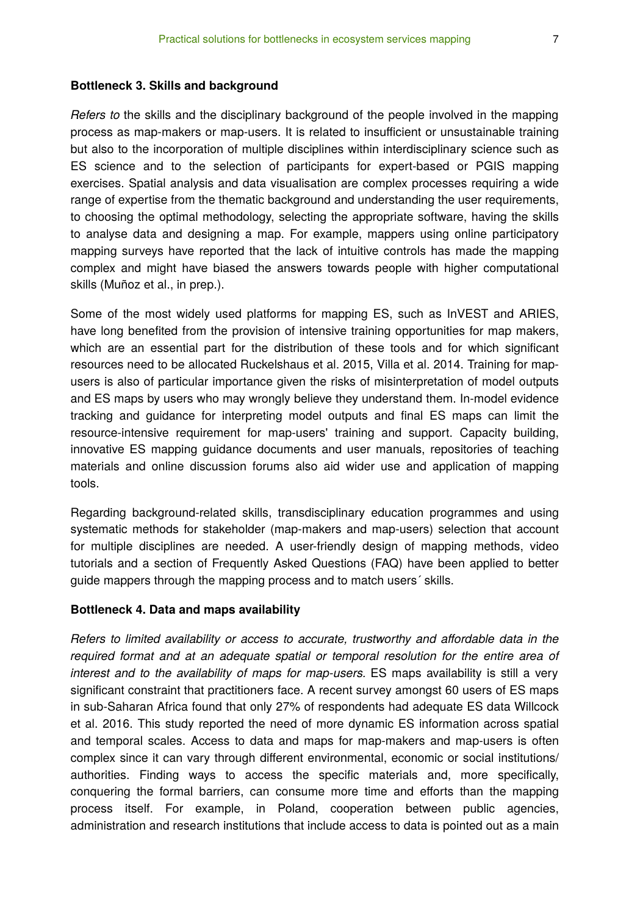#### **Bottleneck 3. Skills and background**

*Refers to* the skills and the disciplinary background of the people involved in the mapping process as map-makers or map-users. It is related to insufficient or unsustainable training but also to the incorporation of multiple disciplines within interdisciplinary science such as ES science and to the selection of participants for expert-based or PGIS mapping exercises. Spatial analysis and data visualisation are complex processes requiring a wide range of expertise from the thematic background and understanding the user requirements, to choosing the optimal methodology, selecting the appropriate software, having the skills to analyse data and designing a map. For example, mappers using online participatory mapping surveys have reported that the lack of intuitive controls has made the mapping complex and might have biased the answers towards people with higher computational skills (Muñoz et al., in prep.).

Some of the most widely used platforms for mapping ES, such as InVEST and ARIES, have long benefited from the provision of intensive training opportunities for map makers, which are an essential part for the distribution of these tools and for which significant resources need to be allocated Ruckelshaus et al. 2015, Villa et al. 2014. Training for mapusers is also of particular importance given the risks of misinterpretation of model outputs and ES maps by users who may wrongly believe they understand them. In-model evidence tracking and guidance for interpreting model outputs and final ES maps can limit the resource-intensive requirement for map-users' training and support. Capacity building, innovative ES mapping guidance documents and user manuals, repositories of teaching materials and online discussion forums also aid wider use and application of mapping tools.

Regarding background-related skills, transdisciplinary education programmes and using systematic methods for stakeholder (map-makers and map-users) selection that account for multiple disciplines are needed. A user-friendly design of mapping methods, video tutorials and a section of Frequently Asked Questions (FAQ) have been applied to better guide mappers through the mapping process and to match users´ skills.

#### **Bottleneck 4. Data and maps availability**

*Refers to limited availability or access to accurate, trustworthy and affordable data in the required format and at an adequate spatial or temporal resolution for the entire area of interest and to the availability of maps for map-users.* ES maps availability is still a very significant constraint that practitioners face. A recent survey amongst 60 users of ES maps in sub-Saharan Africa found that only 27% of respondents had adequate ES data Willcock et al. 2016. This study reported the need of more dynamic ES information across spatial and temporal scales. Access to data and maps for map-makers and map-users is often complex since it can vary through different environmental, economic or social institutions/ authorities. Finding ways to access the specific materials and, more specifically, conquering the formal barriers, can consume more time and efforts than the mapping process itself. For example, in Poland, cooperation between public agencies, administration and research institutions that include access to data is pointed out as a main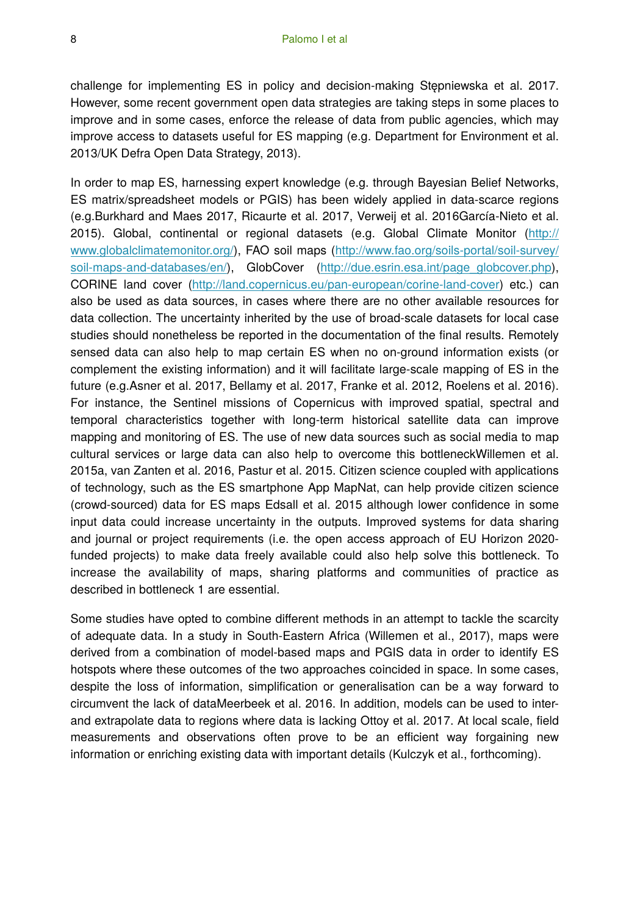challenge for implementing ES in policy and decision-making Stępniewska et al. 2017. However, some recent government open data strategies are taking steps in some places to improve and in some cases, enforce the release of data from public agencies, which may improve access to datasets useful for ES mapping (e.g. Department for Environment et al. 2013/UK Defra Open Data Strategy, 2013).

In order to map ES, harnessing expert knowledge (e.g. through Bayesian Belief Networks, ES matrix/spreadsheet models or PGIS) has been widely applied in data-scarce regions (e.g.Burkhard and Maes 2017, Ricaurte et al. 2017, Verweij et al. 2016García-Nieto et al. 2015). Global, continental or regional datasets (e.g. Global Climate Monitor ([http://](http://www.globalclimatemonitor.org/) [www.globalclimatemonitor.org/\)](http://www.globalclimatemonitor.org/), FAO soil maps [\(http://www.fao.org/soils-portal/soil-survey/](http://www.fao.org/soils-portal/soil-survey/soil-maps-and-databases/en/) [soil-maps-and-databases/en/](http://www.fao.org/soils-portal/soil-survey/soil-maps-and-databases/en/)), GlobCover [\(http://due.esrin.esa.int/page\\_globcover.php\)](http://due.esrin.esa.int/page_globcover.php), CORINE land cover (<http://land.copernicus.eu/pan-european/corine-land-cover>) etc.) can also be used as data sources, in cases where there are no other available resources for data collection. The uncertainty inherited by the use of broad-scale datasets for local case studies should nonetheless be reported in the documentation of the final results. Remotely sensed data can also help to map certain ES when no on-ground information exists (or complement the existing information) and it will facilitate large-scale mapping of ES in the future (e.g.Asner et al. 2017, Bellamy et al. 2017, Franke et al. 2012, Roelens et al. 2016). For instance, the Sentinel missions of Copernicus with improved spatial, spectral and temporal characteristics together with long-term historical satellite data can improve mapping and monitoring of ES. The use of new data sources such as social media to map cultural services or large data can also help to overcome this bottleneckWillemen et al. 2015a, van Zanten et al. 2016, Pastur et al. 2015. Citizen science coupled with applications of technology, such as the ES smartphone App MapNat, can help provide citizen science (crowd-sourced) data for ES maps Edsall et al. 2015 although lower confidence in some input data could increase uncertainty in the outputs. Improved systems for data sharing and journal or project requirements (i.e. the open access approach of EU Horizon 2020 funded projects) to make data freely available could also help solve this bottleneck. To increase the availability of maps, sharing platforms and communities of practice as described in bottleneck 1 are essential.

Some studies have opted to combine different methods in an attempt to tackle the scarcity of adequate data. In a study in South-Eastern Africa (Willemen et al., 2017), maps were derived from a combination of model-based maps and PGIS data in order to identify ES hotspots where these outcomes of the two approaches coincided in space. In some cases, despite the loss of information, simplification or generalisation can be a way forward to circumvent the lack of dataMeerbeek et al. 2016. In addition, models can be used to interand extrapolate data to regions where data is lacking Ottoy et al. 2017. At local scale, field measurements and observations often prove to be an efficient way forgaining new information or enriching existing data with important details (Kulczyk et al., forthcoming).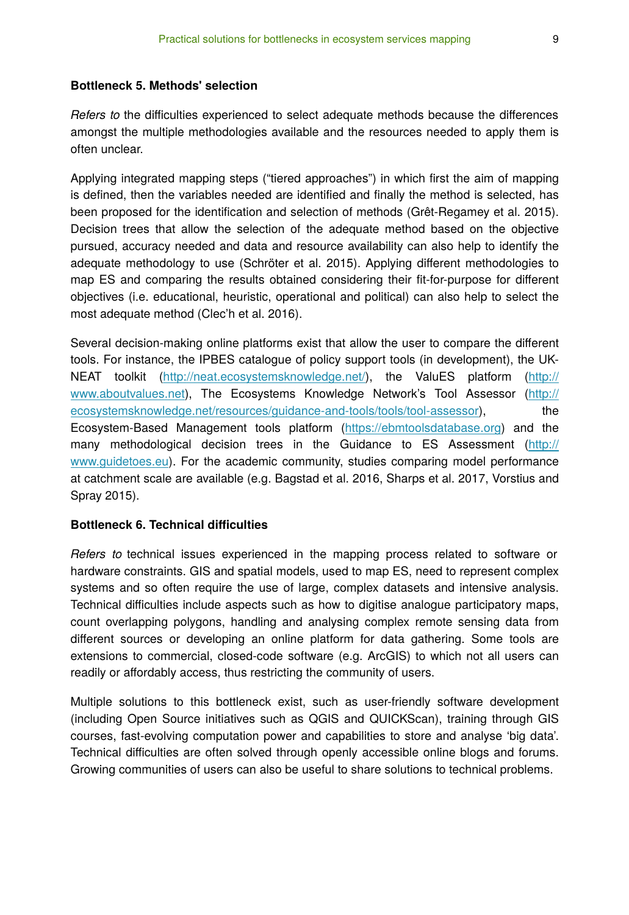#### **Bottleneck 5. Methods' selection**

*Refers to* the difficulties experienced to select adequate methods because the differences amongst the multiple methodologies available and the resources needed to apply them is often unclear.

Applying integrated mapping steps ("tiered approaches") in which first the aim of mapping is defined, then the variables needed are identified and finally the method is selected, has been proposed for the identification and selection of methods (Grêt-Regamey et al. 2015). Decision trees that allow the selection of the adequate method based on the objective pursued, accuracy needed and data and resource availability can also help to identify the adequate methodology to use (Schröter et al. 2015). Applying different methodologies to map ES and comparing the results obtained considering their fit-for-purpose for different objectives (i.e. educational, heuristic, operational and political) can also help to select the most adequate method (Clec'h et al. 2016).

Several decision-making online platforms exist that allow the user to compare the different tools. For instance, the IPBES catalogue of policy support tools (in development), the UK-NEAT toolkit [\(http://neat.ecosystemsknowledge.net/](http://neat.ecosystemsknowledge.net)), the ValuES platform ([http://](http://www.aboutvalues.net/) [www.aboutvalues.net](http://www.aboutvalues.net/)), The Ecosystems Knowledge Network's Tool Assessor ([http://](http://ecosystemsknowledge.net/resources/guidance-and-tools/tools/tool-assessor) [ecosystemsknowledge.net/resources/guidance-and-tools/tools/tool-assessor\)](http://ecosystemsknowledge.net/resources/guidance-and-tools/tools/tool-assessor), the Ecosystem-Based Management tools platform [\(https://ebmtoolsdatabase.org](https://ebmtoolsdatabase.org/)) and the many methodological decision trees in the Guidance to ES Assessment ([http://](http://www.guidetoes.eu/) [www.guidetoes.eu](http://www.guidetoes.eu/)). For the academic community, studies comparing model performance at catchment scale are available (e.g. Bagstad et al. 2016, Sharps et al. 2017, Vorstius and Spray 2015).

#### **Bottleneck 6. Technical difficulties**

*Refers to* technical issues experienced in the mapping process related to software or hardware constraints. GIS and spatial models, used to map ES, need to represent complex systems and so often require the use of large, complex datasets and intensive analysis. Technical difficulties include aspects such as how to digitise analogue participatory maps, count overlapping polygons, handling and analysing complex remote sensing data from different sources or developing an online platform for data gathering. Some tools are extensions to commercial, closed-code software (e.g. ArcGIS) to which not all users can readily or affordably access, thus restricting the community of users.

Multiple solutions to this bottleneck exist, such as user-friendly software development (including Open Source initiatives such as QGIS and QUICKScan), training through GIS courses, fast-evolving computation power and capabilities to store and analyse 'big data'. Technical difficulties are often solved through openly accessible online blogs and forums. Growing communities of users can also be useful to share solutions to technical problems.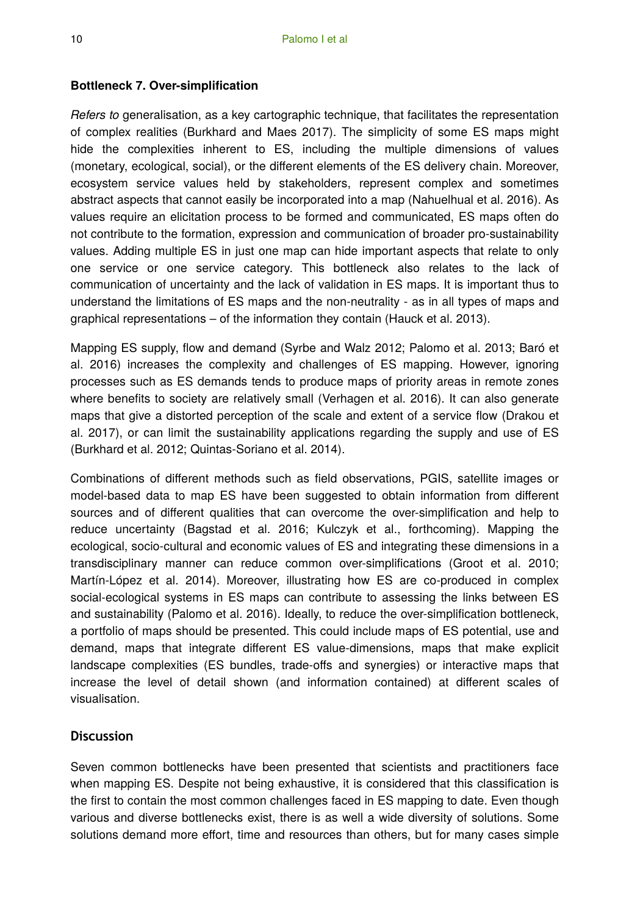### **Bottleneck 7. Over-simplification**

*Refers to* generalisation, as a key cartographic technique, that facilitates the representation of complex realities (Burkhard and Maes 2017). The simplicity of some ES maps might hide the complexities inherent to ES, including the multiple dimensions of values (monetary, ecological, social), or the different elements of the ES delivery chain. Moreover, ecosystem service values held by stakeholders, represent complex and sometimes abstract aspects that cannot easily be incorporated into a map (Nahuelhual et al. 2016). As values require an elicitation process to be formed and communicated, ES maps often do not contribute to the formation, expression and communication of broader pro-sustainability values. Adding multiple ES in just one map can hide important aspects that relate to only one service or one service category. This bottleneck also relates to the lack of communication of uncertainty and the lack of validation in ES maps. It is important thus to understand the limitations of ES maps and the non-neutrality - as in all types of maps and graphical representations – of the information they contain (Hauck et al. 2013).

Mapping ES supply, flow and demand (Syrbe and Walz 2012; Palomo et al. 2013; Baró et al. 2016) increases the complexity and challenges of ES mapping. However, ignoring processes such as ES demands tends to produce maps of priority areas in remote zones where benefits to society are relatively small (Verhagen et al. 2016). It can also generate maps that give a distorted perception of the scale and extent of a service flow (Drakou et al. 2017), or can limit the sustainability applications regarding the supply and use of ES (Burkhard et al. 2012; Quintas-Soriano et al. 2014).

Combinations of different methods such as field observations, PGIS, satellite images or model-based data to map ES have been suggested to obtain information from different sources and of different qualities that can overcome the over-simplification and help to reduce uncertainty (Bagstad et al. 2016; Kulczyk et al., forthcoming). Mapping the ecological, socio-cultural and economic values of ES and integrating these dimensions in a transdisciplinary manner can reduce common over-simplifications (Groot et al. 2010; Martín-López et al. 2014). Moreover, illustrating how ES are co-produced in complex social-ecological systems in ES maps can contribute to assessing the links between ES and sustainability (Palomo et al. 2016). Ideally, to reduce the over-simplification bottleneck, a portfolio of maps should be presented. This could include maps of ES potential, use and demand, maps that integrate different ES value-dimensions, maps that make explicit landscape complexities (ES bundles, trade-offs and synergies) or interactive maps that increase the level of detail shown (and information contained) at different scales of visualisation.

### **Discussion**

Seven common bottlenecks have been presented that scientists and practitioners face when mapping ES. Despite not being exhaustive, it is considered that this classification is the first to contain the most common challenges faced in ES mapping to date. Even though various and diverse bottlenecks exist, there is as well a wide diversity of solutions. Some solutions demand more effort, time and resources than others, but for many cases simple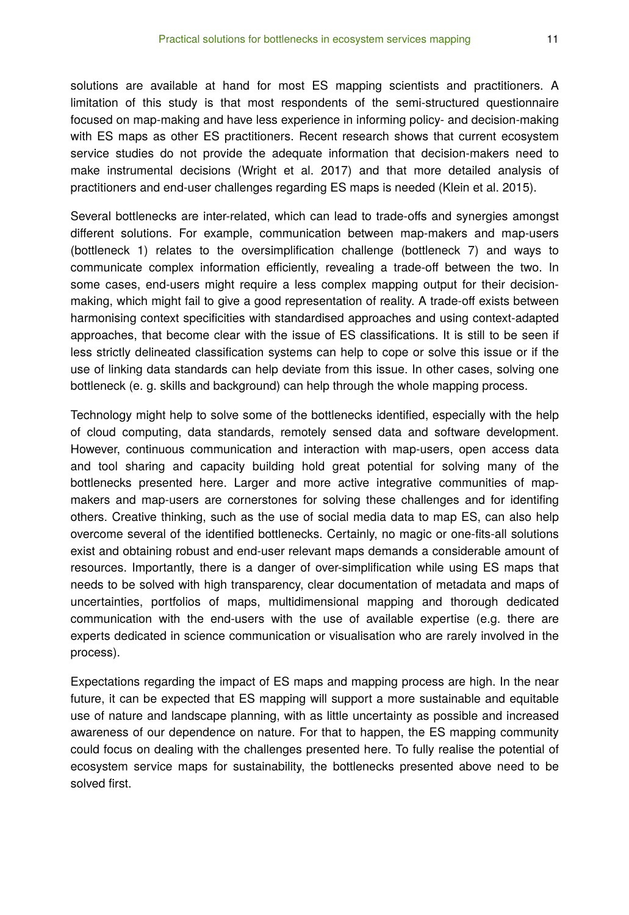solutions are available at hand for most ES mapping scientists and practitioners. A limitation of this study is that most respondents of the semi-structured questionnaire focused on map-making and have less experience in informing policy- and decision-making with ES maps as other ES practitioners. Recent research shows that current ecosystem service studies do not provide the adequate information that decision-makers need to make instrumental decisions (Wright et al. 2017) and that more detailed analysis of practitioners and end-user challenges regarding ES maps is needed (Klein et al. 2015).

Several bottlenecks are inter-related, which can lead to trade-offs and synergies amongst different solutions. For example, communication between map-makers and map-users (bottleneck 1) relates to the oversimplification challenge (bottleneck 7) and ways to communicate complex information efficiently, revealing a trade-off between the two. In some cases, end-users might require a less complex mapping output for their decisionmaking, which might fail to give a good representation of reality. A trade-off exists between harmonising context specificities with standardised approaches and using context-adapted approaches, that become clear with the issue of ES classifications. It is still to be seen if less strictly delineated classification systems can help to cope or solve this issue or if the use of linking data standards can help deviate from this issue. In other cases, solving one bottleneck (e. g. skills and background) can help through the whole mapping process.

Technology might help to solve some of the bottlenecks identified, especially with the help of cloud computing, data standards, remotely sensed data and software development. However, continuous communication and interaction with map-users, open access data and tool sharing and capacity building hold great potential for solving many of the bottlenecks presented here. Larger and more active integrative communities of mapmakers and map-users are cornerstones for solving these challenges and for identifing others. Creative thinking, such as the use of social media data to map ES, can also help overcome several of the identified bottlenecks. Certainly, no magic or one-fits-all solutions exist and obtaining robust and end-user relevant maps demands a considerable amount of resources. Importantly, there is a danger of over-simplification while using ES maps that needs to be solved with high transparency, clear documentation of metadata and maps of uncertainties, portfolios of maps, multidimensional mapping and thorough dedicated communication with the end-users with the use of available expertise (e.g. there are experts dedicated in science communication or visualisation who are rarely involved in the process).

Expectations regarding the impact of ES maps and mapping process are high. In the near future, it can be expected that ES mapping will support a more sustainable and equitable use of nature and landscape planning, with as little uncertainty as possible and increased awareness of our dependence on nature. For that to happen, the ES mapping community could focus on dealing with the challenges presented here. To fully realise the potential of ecosystem service maps for sustainability, the bottlenecks presented above need to be solved first.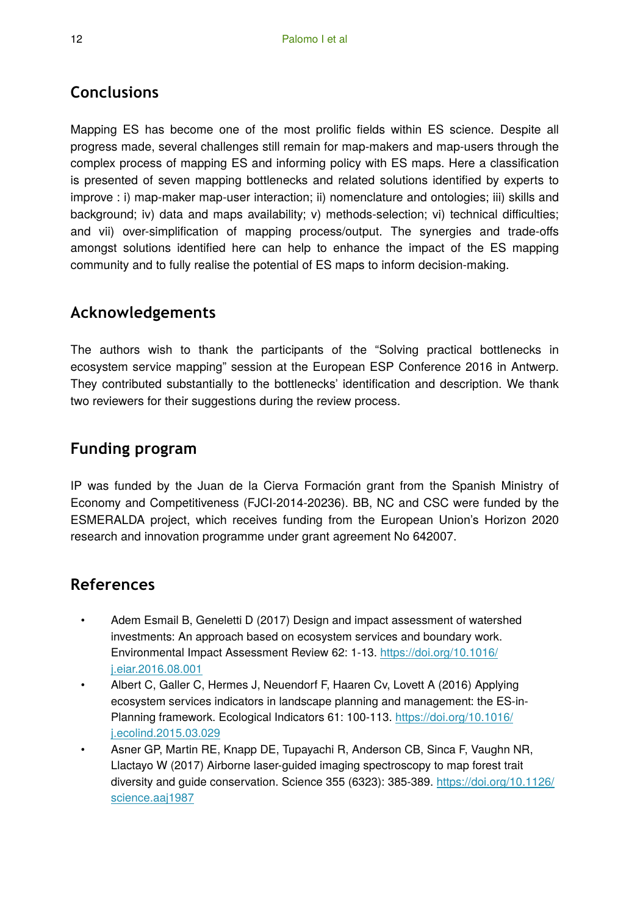# **Conclusions**

Mapping ES has become one of the most prolific fields within ES science. Despite all progress made, several challenges still remain for map-makers and map-users through the complex process of mapping ES and informing policy with ES maps. Here a classification is presented of seven mapping bottlenecks and related solutions identified by experts to improve : i) map-maker map-user interaction; ii) nomenclature and ontologies; iii) skills and background; iv) data and maps availability; v) methods-selection; vi) technical difficulties; and vii) over-simplification of mapping process/output. The synergies and trade-offs amongst solutions identified here can help to enhance the impact of the ES mapping community and to fully realise the potential of ES maps to inform decision-making.

# **Acknowledgements**

The authors wish to thank the participants of the "Solving practical bottlenecks in ecosystem service mapping" session at the European ESP Conference 2016 in Antwerp. They contributed substantially to the bottlenecks' identification and description. We thank two reviewers for their suggestions during the review process.

# **Funding program**

IP was funded by the Juan de la Cierva Formación grant from the Spanish Ministry of Economy and Competitiveness (FJCI-2014-20236). BB, NC and CSC were funded by the ESMERALDA project, which receives funding from the European Union's Horizon 2020 research and innovation programme under grant agreement No 642007.

# **References**

- Adem Esmail B, Geneletti D (2017) Design and impact assessment of watershed investments: An approach based on ecosystem services and boundary work. Environmental Impact Assessment Review 62: 1‑13. [https://doi.org/10.1016/](https://doi.org/10.1016/j.eiar.2016.08.001) [j.eiar.2016.08.001](https://doi.org/10.1016/j.eiar.2016.08.001)
- Albert C, Galler C, Hermes J, Neuendorf F, Haaren Cv, Lovett A (2016) Applying ecosystem services indicators in landscape planning and management: the ES-inPlanning framework. Ecological Indicators 61: 100-113. [https://doi.org/10.1016/](https://doi.org/10.1016/j.ecolind.2015.03.029) [j.ecolind.2015.03.029](https://doi.org/10.1016/j.ecolind.2015.03.029)
- Asner GP, Martin RE, Knapp DE, Tupayachi R, Anderson CB, Sinca F, Vaughn NR, Llactayo W (2017) Airborne laser-guided imaging spectroscopy to map forest trait diversity and guide conservation. Science 355 (6323): 385‑389. [https://doi.org/10.1126/](https://doi.org/10.1126/science.aaj1987) [science.aaj1987](https://doi.org/10.1126/science.aaj1987)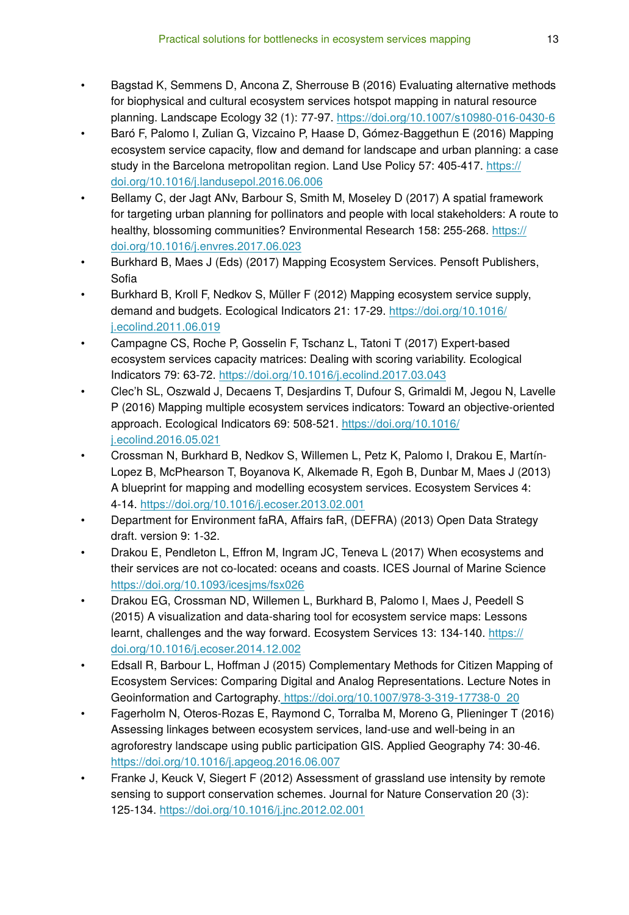- Bagstad K, Semmens D, Ancona Z, Sherrouse B (2016) Evaluating alternative methods for biophysical and cultural ecosystem services hotspot mapping in natural resource planning. Landscape Ecology 32 (1): 77‑97.<https://doi.org/10.1007/s10980-016-0430-6>
- Baró F, Palomo I, Zulian G, Vizcaino P, Haase D, Gómez-Baggethun E (2016) Mapping ecosystem service capacity, flow and demand for landscape and urban planning: a case study in the Barcelona metropolitan region. Land Use Policy 57: 405-417. [https://](https://doi.org/10.1016/j.landusepol.2016.06.006) [doi.org/10.1016/j.landusepol.2016.06.006](https://doi.org/10.1016/j.landusepol.2016.06.006)
- Bellamy C, der Jagt ANv, Barbour S, Smith M, Moseley D (2017) A spatial framework for targeting urban planning for pollinators and people with local stakeholders: A route to healthy, blossoming communities? Environmental Research 158: 255-268. [https://](https://doi.org/10.1016/j.envres.2017.06.023) [doi.org/10.1016/j.envres.2017.06.023](https://doi.org/10.1016/j.envres.2017.06.023)
- Burkhard B, Maes J (Eds) (2017) Mapping Ecosystem Services. Pensoft Publishers, Sofia
- Burkhard B, Kroll F, Nedkov S, Müller F (2012) Mapping ecosystem service supply, demand and budgets. Ecological Indicators 21: 17‑29. [https://doi.org/10.1016/](https://doi.org/10.1016/j.ecolind.2011.06.019) [j.ecolind.2011.06.019](https://doi.org/10.1016/j.ecolind.2011.06.019)
- Campagne CS, Roche P, Gosselin F, Tschanz L, Tatoni T (2017) Expert-based ecosystem services capacity matrices: Dealing with scoring variability. Ecological Indicators 79: 63‑72. <https://doi.org/10.1016/j.ecolind.2017.03.043>
- Clec'h SL, Oszwald J, Decaens T, Desjardins T, Dufour S, Grimaldi M, Jegou N, Lavelle P (2016) Mapping multiple ecosystem services indicators: Toward an objective-oriented approach. Ecological Indicators 69: 508‑521. [https://doi.org/10.1016/](https://doi.org/10.1016/j.ecolind.2016.05.021) [j.ecolind.2016.05.021](https://doi.org/10.1016/j.ecolind.2016.05.021)
- Crossman N, Burkhard B, Nedkov S, Willemen L, Petz K, Palomo I, Drakou E, Martín-Lopez B, McPhearson T, Boyanova K, Alkemade R, Egoh B, Dunbar M, Maes J (2013) A blueprint for mapping and modelling ecosystem services. Ecosystem Services 4: 4‑14.<https://doi.org/10.1016/j.ecoser.2013.02.001>
- Department for Environment faRA, Affairs faR, (DEFRA) (2013) Open Data Strategy draft. version 9: 1‑32.
- Drakou E, Pendleton L, Effron M, Ingram JC, Teneva L (2017) When ecosystems and their services are not co-located: oceans and coasts. ICES Journal of Marine Science <https://doi.org/10.1093/icesjms/fsx026>
- Drakou EG, Crossman ND, Willemen L, Burkhard B, Palomo I, Maes J, Peedell S (2015) A visualization and data-sharing tool for ecosystem service maps: Lessons learnt, challenges and the way forward. Ecosystem Services 13: 134-140. [https://](https://doi.org/10.1016/j.ecoser.2014.12.002) [doi.org/10.1016/j.ecoser.2014.12.002](https://doi.org/10.1016/j.ecoser.2014.12.002)
- Edsall R, Barbour L, Hoffman J (2015) Complementary Methods for Citizen Mapping of Ecosystem Services: Comparing Digital and Analog Representations. Lecture Notes in Geoinformation and Cartography. [https://doi.org/10.1007/978-3-319-17738-0\\_20](https://doi.org/10.1007/978-3-319-17738-0_20)
- Fagerholm N, Oteros-Rozas E, Raymond C, Torralba M, Moreno G, Plieninger T (2016) Assessing linkages between ecosystem services, land-use and well-being in an agroforestry landscape using public participation GIS. Applied Geography 74: 30‑46. <https://doi.org/10.1016/j.apgeog.2016.06.007>
- Franke J, Keuck V, Siegert F (2012) Assessment of grassland use intensity by remote sensing to support conservation schemes. Journal for Nature Conservation 20 (3): 125‑134. <https://doi.org/10.1016/j.jnc.2012.02.001>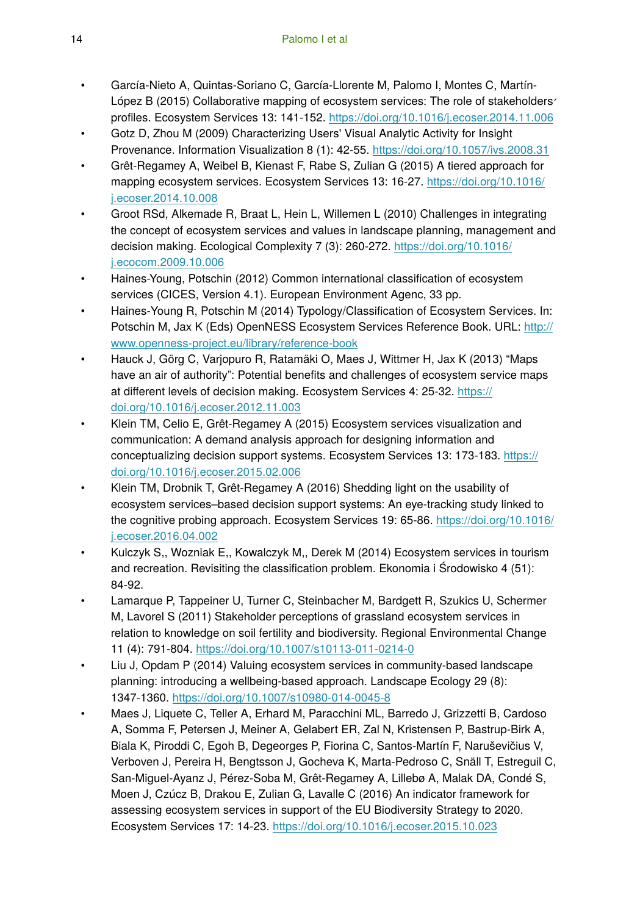- García-Nieto A, Quintas-Soriano C, García-Llorente M, Palomo I, Montes C, Martín-López B (2015) Collaborative mapping of ecosystem services: The role of stakeholders׳ profiles. Ecosystem Services 13: 141‑152. <https://doi.org/10.1016/j.ecoser.2014.11.006>
- Gotz D, Zhou M (2009) Characterizing Users' Visual Analytic Activity for Insight Provenance. Information Visualization 8 (1): 42‑55. <https://doi.org/10.1057/ivs.2008.31>
- Grêt-Regamey A, Weibel B, Kienast F, Rabe S, Zulian G (2015) A tiered approach for mapping ecosystem services. Ecosystem Services 13: 16‑27. [https://doi.org/10.1016/](https://doi.org/10.1016/j.ecoser.2014.10.008) [j.ecoser.2014.10.008](https://doi.org/10.1016/j.ecoser.2014.10.008)
- Groot RSd, Alkemade R, Braat L, Hein L, Willemen L (2010) Challenges in integrating the concept of ecosystem services and values in landscape planning, management and decision making. Ecological Complexity 7 (3): 260‑272. [https://doi.org/10.1016/](https://doi.org/10.1016/j.ecocom.2009.10.006) [j.ecocom.2009.10.006](https://doi.org/10.1016/j.ecocom.2009.10.006)
- Haines-Young, Potschin (2012) Common international classification of ecosystem services (CICES, Version 4.1). European Environment Agenc, 33 pp.
- Haines‐Young R, Potschin M (2014) Typology/Classification of Ecosystem Services. In: Potschin M, Jax K (Eds) OpenNESS Ecosystem Services Reference Book. URL: [http://](http://www.openness%E2%80%90project.eu/library/reference%E2%80%90book) www.openness‐[project.eu/library/reference](http://www.openness%E2%80%90project.eu/library/reference%E2%80%90book)‐book
- Hauck J, Görg C, Varjopuro R, Ratamäki O, Maes J, Wittmer H, Jax K (2013) "Maps have an air of authority": Potential benefits and challenges of ecosystem service maps at different levels of decision making. Ecosystem Services 4: 25‑32. [https://](https://doi.org/10.1016/j.ecoser.2012.11.003) [doi.org/10.1016/j.ecoser.2012.11.003](https://doi.org/10.1016/j.ecoser.2012.11.003)
- Klein TM, Celio E, Grêt-Regamey A (2015) Ecosystem services visualization and communication: A demand analysis approach for designing information and conceptualizing decision support systems. Ecosystem Services 13: 173-183. [https://](https://doi.org/10.1016/j.ecoser.2015.02.006) [doi.org/10.1016/j.ecoser.2015.02.006](https://doi.org/10.1016/j.ecoser.2015.02.006)
- Klein TM, Drobnik T, Grêt-Regamey A (2016) Shedding light on the usability of ecosystem services–based decision support systems: An eye-tracking study linked to the cognitive probing approach. Ecosystem Services 19: 65‑86. [https://doi.org/10.1016/](https://doi.org/10.1016/j.ecoser.2016.04.002) [j.ecoser.2016.04.002](https://doi.org/10.1016/j.ecoser.2016.04.002)
- Kulczyk S,, Wozniak E,, Kowalczyk M,, Derek M (2014) Ecosystem services in tourism and recreation. Revisiting the classification problem. Ekonomia i Środowisko 4 (51): 84‑92.
- Lamarque P, Tappeiner U, Turner C, Steinbacher M, Bardgett R, Szukics U, Schermer M, Lavorel S (2011) Stakeholder perceptions of grassland ecosystem services in relation to knowledge on soil fertility and biodiversity. Regional Environmental Change 11 (4): 791‑804. <https://doi.org/10.1007/s10113-011-0214-0>
- Liu J, Opdam P (2014) Valuing ecosystem services in community-based landscape planning: introducing a wellbeing-based approach. Landscape Ecology 29 (8): 1347‑1360.<https://doi.org/10.1007/s10980-014-0045-8>
- Maes J, Liquete C, Teller A, Erhard M, Paracchini ML, Barredo J, Grizzetti B, Cardoso A, Somma F, Petersen J, Meiner A, Gelabert ER, Zal N, Kristensen P, Bastrup-Birk A, Biala K, Piroddi C, Egoh B, Degeorges P, Fiorina C, Santos-Martín F, Naruševičius V, Verboven J, Pereira H, Bengtsson J, Gocheva K, Marta-Pedroso C, Snäll T, Estreguil C, San-Miguel-Ayanz J, Pérez-Soba M, Grêt-Regamey A, Lillebø A, Malak DA, Condé S, Moen J, Czúcz B, Drakou E, Zulian G, Lavalle C (2016) An indicator framework for assessing ecosystem services in support of the EU Biodiversity Strategy to 2020. Ecosystem Services 17: 14‑23. <https://doi.org/10.1016/j.ecoser.2015.10.023>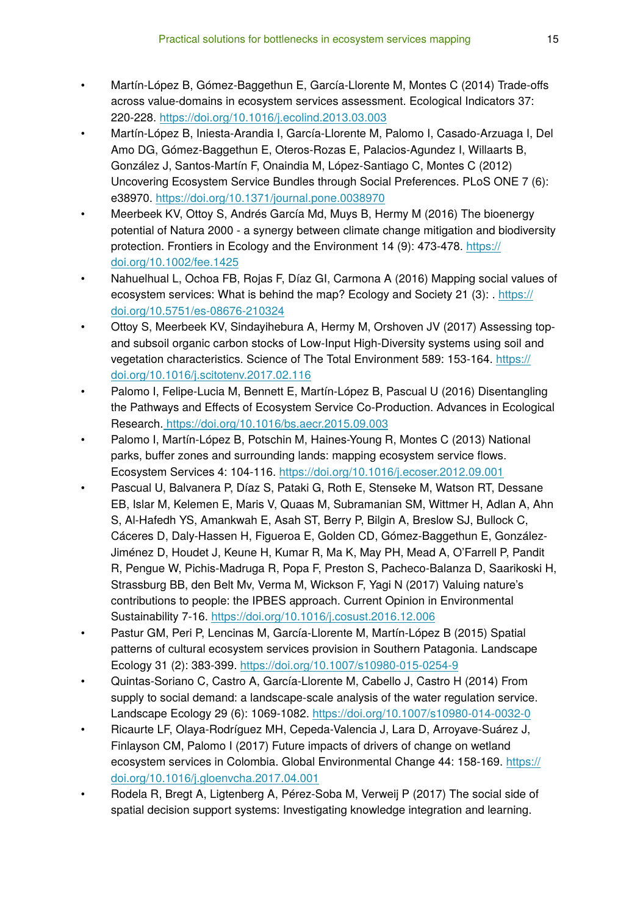- Martín-López B, Gómez-Baggethun E, García-Llorente M, Montes C (2014) Trade-offs across value-domains in ecosystem services assessment. Ecological Indicators 37: 220‑228. <https://doi.org/10.1016/j.ecolind.2013.03.003>
- Martín-López B, Iniesta-Arandia I, García-Llorente M, Palomo I, Casado-Arzuaga I, Del Amo DG, Gómez-Baggethun E, Oteros-Rozas E, Palacios-Agundez I, Willaarts B, González J, Santos-Martín F, Onaindia M, López-Santiago C, Montes C (2012) Uncovering Ecosystem Service Bundles through Social Preferences. PLoS ONE 7 (6): e38970. <https://doi.org/10.1371/journal.pone.0038970>
- Meerbeek KV, Ottoy S, Andrés García Md, Muys B, Hermy M (2016) The bioenergy potential of Natura 2000 - a synergy between climate change mitigation and biodiversity protection. Frontiers in Ecology and the Environment 14 (9): 473-478. [https://](https://doi.org/10.1002/fee.1425) [doi.org/10.1002/fee.1425](https://doi.org/10.1002/fee.1425)
- Nahuelhual L, Ochoa FB, Rojas F, Díaz GI, Carmona A (2016) Mapping social values of ecosystem services: What is behind the map? Ecology and Society 21 (3): . [https://](https://doi.org/10.5751/es-08676-210324) [doi.org/10.5751/es-08676-210324](https://doi.org/10.5751/es-08676-210324)
- Ottoy S, Meerbeek KV, Sindayihebura A, Hermy M, Orshoven JV (2017) Assessing topand subsoil organic carbon stocks of Low-Input High-Diversity systems using soil and vegetation characteristics. Science of The Total Environment 589: 153‑164. [https://](https://doi.org/10.1016/j.scitotenv.2017.02.116) [doi.org/10.1016/j.scitotenv.2017.02.116](https://doi.org/10.1016/j.scitotenv.2017.02.116)
- Palomo I, Felipe-Lucia M, Bennett E, Martín-López B, Pascual U (2016) Disentangling the Pathways and Effects of Ecosystem Service Co-Production. Advances in Ecological Research[. https://doi.org/10.1016/bs.aecr.2015.09.003](https://doi.org/10.1016/bs.aecr.2015.09.003)
- Palomo I, Martín-López B, Potschin M, Haines-Young R, Montes C (2013) National parks, buffer zones and surrounding lands: mapping ecosystem service flows. Ecosystem Services 4: 104‑116.<https://doi.org/10.1016/j.ecoser.2012.09.001>
- Pascual U, Balvanera P, Díaz S, Pataki G, Roth E, Stenseke M, Watson RT, Dessane EB, Islar M, Kelemen E, Maris V, Quaas M, Subramanian SM, Wittmer H, Adlan A, Ahn S, Al-Hafedh YS, Amankwah E, Asah ST, Berry P, Bilgin A, Breslow SJ, Bullock C, Cáceres D, Daly-Hassen H, Figueroa E, Golden CD, Gómez-Baggethun E, González-Jiménez D, Houdet J, Keune H, Kumar R, Ma K, May PH, Mead A, O'Farrell P, Pandit R, Pengue W, Pichis-Madruga R, Popa F, Preston S, Pacheco-Balanza D, Saarikoski H, Strassburg BB, den Belt Mv, Verma M, Wickson F, Yagi N (2017) Valuing nature's contributions to people: the IPBES approach. Current Opinion in Environmental Sustainability 7‑16.<https://doi.org/10.1016/j.cosust.2016.12.006>
- Pastur GM, Peri P, Lencinas M, García-Llorente M, Martín-López B (2015) Spatial patterns of cultural ecosystem services provision in Southern Patagonia. Landscape Ecology 31 (2): 383‑399.<https://doi.org/10.1007/s10980-015-0254-9>
- Quintas-Soriano C, Castro A, García-Llorente M, Cabello J, Castro H (2014) From supply to social demand: a landscape-scale analysis of the water regulation service. Landscape Ecology 29 (6): 1069‑1082.<https://doi.org/10.1007/s10980-014-0032-0>
- Ricaurte LF, Olaya-Rodríguez MH, Cepeda-Valencia J, Lara D, Arroyave-Suárez J, Finlayson CM, Palomo I (2017) Future impacts of drivers of change on wetland ecosystem services in Colombia. Global Environmental Change 44: 158-169. [https://](https://doi.org/10.1016/j.gloenvcha.2017.04.001) [doi.org/10.1016/j.gloenvcha.2017.04.001](https://doi.org/10.1016/j.gloenvcha.2017.04.001)
- Rodela R, Bregt A, Ligtenberg A, Pérez-Soba M, Verweij P (2017) The social side of spatial decision support systems: Investigating knowledge integration and learning.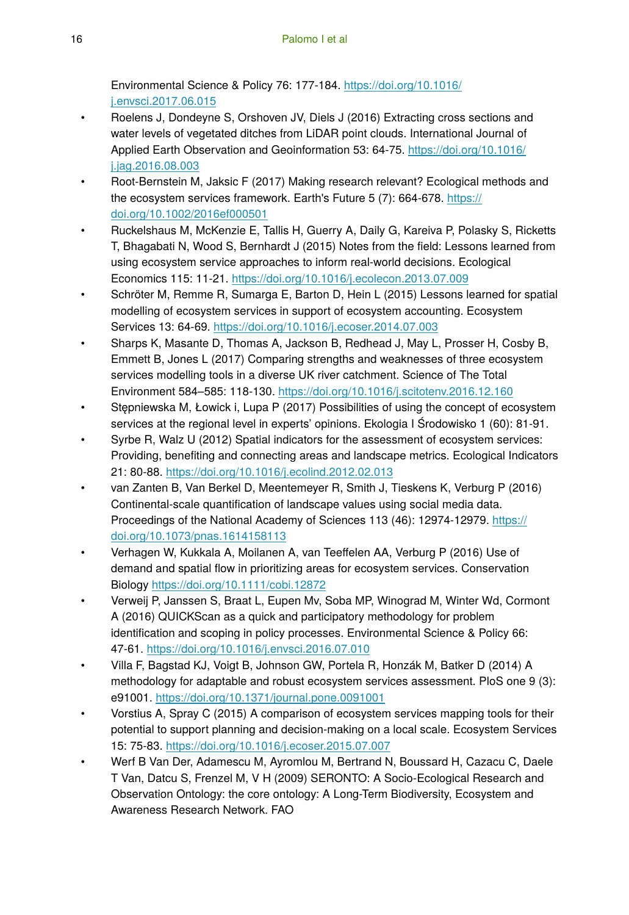Environmental Science & Policy 76: 177‑184. [https://doi.org/10.1016/](https://doi.org/10.1016/j.envsci.2017.06.015) [j.envsci.2017.06.015](https://doi.org/10.1016/j.envsci.2017.06.015)

- Roelens J, Dondeyne S, Orshoven JV, Diels J (2016) Extracting cross sections and water levels of vegetated ditches from LiDAR point clouds. International Journal of Applied Earth Observation and Geoinformation 53: 64‑75. [https://doi.org/10.1016/](https://doi.org/10.1016/j.jag.2016.08.003) [j.jag.2016.08.003](https://doi.org/10.1016/j.jag.2016.08.003)
- Root-Bernstein M, Jaksic F (2017) Making research relevant? Ecological methods and the ecosystem services framework. Earth's Future 5 (7): 664‑678. [https://](https://doi.org/10.1002/2016ef000501) [doi.org/10.1002/2016ef000501](https://doi.org/10.1002/2016ef000501)
- Ruckelshaus M, McKenzie E, Tallis H, Guerry A, Daily G, Kareiva P, Polasky S, Ricketts T, Bhagabati N, Wood S, Bernhardt J (2015) Notes from the field: Lessons learned from using ecosystem service approaches to inform real-world decisions. Ecological Economics 115: 11‑21.<https://doi.org/10.1016/j.ecolecon.2013.07.009>
- Schröter M, Remme R, Sumarga E, Barton D, Hein L (2015) Lessons learned for spatial modelling of ecosystem services in support of ecosystem accounting. Ecosystem Services 13: 64‑69. <https://doi.org/10.1016/j.ecoser.2014.07.003>
- Sharps K, Masante D, Thomas A, Jackson B, Redhead J, May L, Prosser H, Cosby B, Emmett B, Jones L (2017) Comparing strengths and weaknesses of three ecosystem services modelling tools in a diverse UK river catchment. Science of The Total Environment 584–585: 118‑130. <https://doi.org/10.1016/j.scitotenv.2016.12.160>
- Stępniewska M, Łowick i, Lupa P (2017) Possibilities of using the concept of ecosystem services at the regional level in experts' opinions. Ekologia I Środowisko 1 (60): 81‑91.
- Syrbe R, Walz U (2012) Spatial indicators for the assessment of ecosystem services: Providing, benefiting and connecting areas and landscape metrics. Ecological Indicators 21: 80‑88.<https://doi.org/10.1016/j.ecolind.2012.02.013>
- van Zanten B, Van Berkel D, Meentemeyer R, Smith J, Tieskens K, Verburg P (2016) Continental-scale quantification of landscape values using social media data. Proceedings of the National Academy of Sciences 113 (46): 12974-12979. [https://](https://doi.org/10.1073/pnas.1614158113) [doi.org/10.1073/pnas.1614158113](https://doi.org/10.1073/pnas.1614158113)
- Verhagen W, Kukkala A, Moilanen A, van Teeffelen AA, Verburg P (2016) Use of demand and spatial flow in prioritizing areas for ecosystem services. Conservation Biology <https://doi.org/10.1111/cobi.12872>
- Verweij P, Janssen S, Braat L, Eupen Mv, Soba MP, Winograd M, Winter Wd, Cormont A (2016) QUICKScan as a quick and participatory methodology for problem identification and scoping in policy processes. Environmental Science & Policy 66: 47‑61.<https://doi.org/10.1016/j.envsci.2016.07.010>
- Villa F, Bagstad KJ, Voigt B, Johnson GW, Portela R, Honzák M, Batker D (2014) A methodology for adaptable and robust ecosystem services assessment. PloS one 9 (3): e91001. <https://doi.org/10.1371/journal.pone.0091001>
- Vorstius A, Spray C (2015) A comparison of ecosystem services mapping tools for their potential to support planning and decision-making on a local scale. Ecosystem Services 15: 75‑83.<https://doi.org/10.1016/j.ecoser.2015.07.007>
- Werf B Van Der, Adamescu M, Ayromlou M, Bertrand N, Boussard H, Cazacu C, Daele T Van, Datcu S, Frenzel M, V H (2009) SERONTO: A Socio-Ecological Research and Observation Ontology: the core ontology: A Long-Term Biodiversity, Ecosystem and Awareness Research Network. FAO